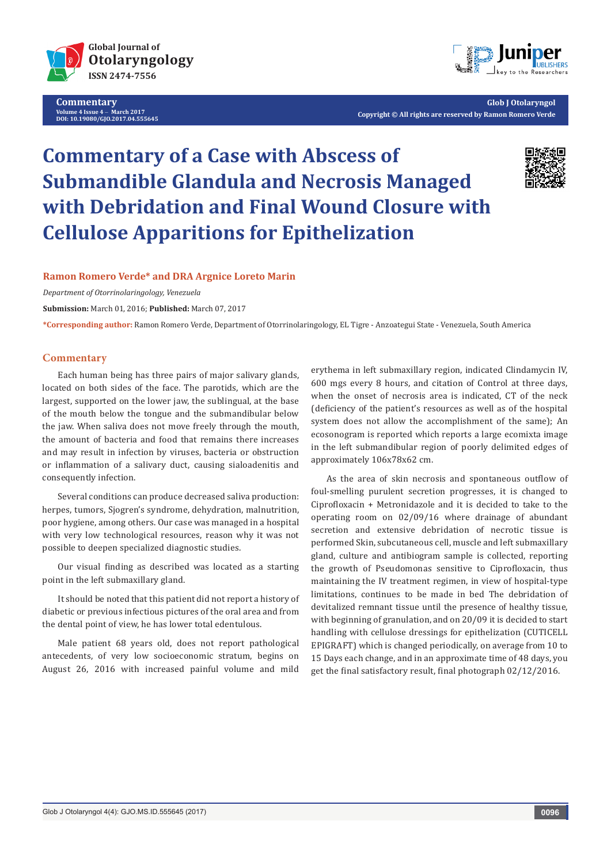

**Commentary Volume 4 Issue 4** - **March 2017 DOI: [10.19080/GJO.2017.04.555645](http://dx.doi.org/10.19080/GJO.2017.04.555645
)**



**Glob J Otolaryngol Copyright © All rights are reserved by Ramon Romero Verde**

# **Commentary of a Case with Abscess of Submandible Glandula and Necrosis Managed with Debridation and Final Wound Closure with Cellulose Apparitions for Epithelization**



### **Ramon Romero Verde\* and DRA Argnice Loreto Marin**

*Department of Otorrinolaringology, Venezuela*

**Submission:** March 01, 2016; **Published:** March 07, 2017

**\*Corresponding author:** Ramon Romero Verde, Department of Otorrinolaringology, EL Tigre - Anzoategui State - Venezuela, South America

#### **Commentary**

Each human being has three pairs of major salivary glands, located on both sides of the face. The parotids, which are the largest, supported on the lower jaw, the sublingual, at the base of the mouth below the tongue and the submandibular below the jaw. When saliva does not move freely through the mouth, the amount of bacteria and food that remains there increases and may result in infection by viruses, bacteria or obstruction or inflammation of a salivary duct, causing sialoadenitis and consequently infection.

Several conditions can produce decreased saliva production: herpes, tumors, Sjogren's syndrome, dehydration, malnutrition, poor hygiene, among others. Our case was managed in a hospital with very low technological resources, reason why it was not possible to deepen specialized diagnostic studies.

Our visual finding as described was located as a starting point in the left submaxillary gland.

It should be noted that this patient did not report a history of diabetic or previous infectious pictures of the oral area and from the dental point of view, he has lower total edentulous.

Male patient 68 years old, does not report pathological antecedents, of very low socioeconomic stratum, begins on August 26, 2016 with increased painful volume and mild

erythema in left submaxillary region, indicated Clindamycin IV, 600 mgs every 8 hours, and citation of Control at three days, when the onset of necrosis area is indicated, CT of the neck (deficiency of the patient's resources as well as of the hospital system does not allow the accomplishment of the same); An ecosonogram is reported which reports a large ecomixta image in the left submandibular region of poorly delimited edges of approximately 106x78x62 cm.

As the area of skin necrosis and spontaneous outflow of foul-smelling purulent secretion progresses, it is changed to Ciprofloxacin + Metronidazole and it is decided to take to the operating room on 02/09/16 where drainage of abundant secretion and extensive debridation of necrotic tissue is performed Skin, subcutaneous cell, muscle and left submaxillary gland, culture and antibiogram sample is collected, reporting the growth of Pseudomonas sensitive to Ciprofloxacin, thus maintaining the IV treatment regimen, in view of hospital-type limitations, continues to be made in bed The debridation of devitalized remnant tissue until the presence of healthy tissue, with beginning of granulation, and on 20/09 it is decided to start handling with cellulose dressings for epithelization (CUTICELL EPIGRAFT) which is changed periodically, on average from 10 to 15 Days each change, and in an approximate time of 48 days, you get the final satisfactory result, final photograph 02/12/2016.